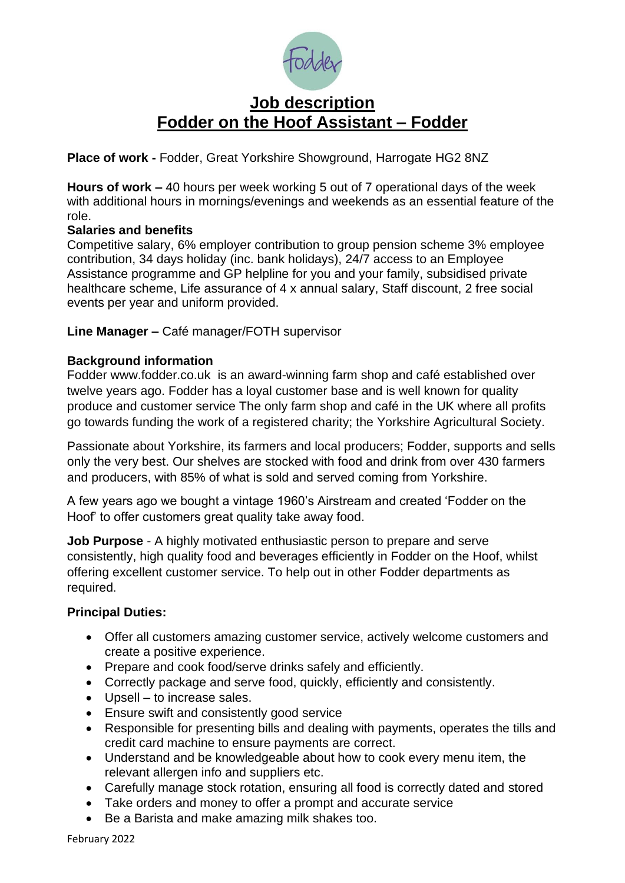

# **Job description Fodder on the Hoof Assistant – Fodder**

**Place of work -** Fodder, Great Yorkshire Showground, Harrogate HG2 8NZ

**Hours of work –** 40 hours per week working 5 out of 7 operational days of the week with additional hours in mornings/evenings and weekends as an essential feature of the role.

#### **Salaries and benefits**

Competitive salary, 6% employer contribution to group pension scheme 3% employee contribution, 34 days holiday (inc. bank holidays), 24/7 access to an Employee Assistance programme and GP helpline for you and your family, subsidised private healthcare scheme, Life assurance of 4 x annual salary, Staff discount, 2 free social events per year and uniform provided.

**Line Manager –** Café manager/FOTH supervisor

### **Background information**

Fodder [www.fodder.co.uk](http://www.fodder.co.uk/) is an award-winning farm shop and café established over twelve years ago. Fodder has a loyal customer base and is well known for quality produce and customer service The only farm shop and café in the UK where all profits go towards funding the work of a registered charity; the Yorkshire Agricultural Society.

Passionate about Yorkshire, its farmers and local producers; Fodder, supports and sells only the very best. Our shelves are stocked with food and drink from over 430 farmers and producers, with 85% of what is sold and served coming from Yorkshire.

A few years ago we bought a vintage 1960's Airstream and created 'Fodder on the Hoof' to offer customers great quality take away food.

**Job Purpose** - A highly motivated enthusiastic person to prepare and serve consistently, high quality food and beverages efficiently in Fodder on the Hoof, whilst offering excellent customer service. To help out in other Fodder departments as required.

#### **Principal Duties:**

- Offer all customers amazing customer service, actively welcome customers and create a positive experience.
- Prepare and cook food/serve drinks safely and efficiently.
- Correctly package and serve food, quickly, efficiently and consistently.
- Upsell to increase sales.
- Ensure swift and consistently good service
- Responsible for presenting bills and dealing with payments, operates the tills and credit card machine to ensure payments are correct.
- Understand and be knowledgeable about how to cook every menu item, the relevant allergen info and suppliers etc.
- Carefully manage stock rotation, ensuring all food is correctly dated and stored
- Take orders and money to offer a prompt and accurate service
- Be a Barista and make amazing milk shakes too.